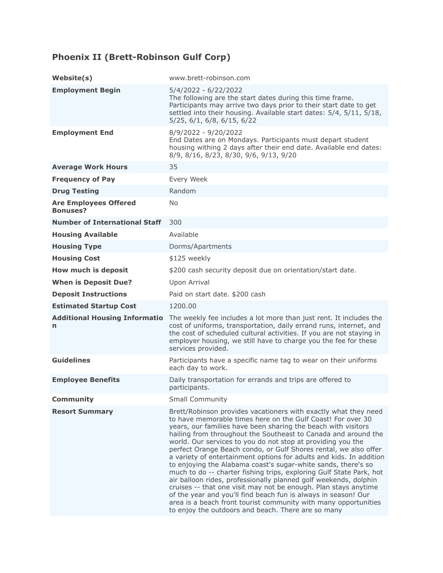## **Phoenix II (Brett-Robinson Gulf Corp)**

| Website(s)                                      | www.brett-robinson.com                                                                                                                                                                                                                                                                                                                                                                                                                                                                                                                                                                                                                                                                                                                                                                                                                                                                                                                                |
|-------------------------------------------------|-------------------------------------------------------------------------------------------------------------------------------------------------------------------------------------------------------------------------------------------------------------------------------------------------------------------------------------------------------------------------------------------------------------------------------------------------------------------------------------------------------------------------------------------------------------------------------------------------------------------------------------------------------------------------------------------------------------------------------------------------------------------------------------------------------------------------------------------------------------------------------------------------------------------------------------------------------|
| <b>Employment Begin</b>                         | 5/4/2022 - 6/22/2022<br>The following are the start dates during this time frame.<br>Participants may arrive two days prior to their start date to get<br>settled into their housing. Available start dates: 5/4, 5/11, 5/18,<br>5/25, 6/1, 6/8, 6/15, 6/22                                                                                                                                                                                                                                                                                                                                                                                                                                                                                                                                                                                                                                                                                           |
| <b>Employment End</b>                           | 8/9/2022 - 9/20/2022<br>End Dates are on Mondays. Participants must depart student<br>housing withing 2 days after their end date. Available end dates:<br>8/9, 8/16, 8/23, 8/30, 9/6, 9/13, 9/20                                                                                                                                                                                                                                                                                                                                                                                                                                                                                                                                                                                                                                                                                                                                                     |
| <b>Average Work Hours</b>                       | 35                                                                                                                                                                                                                                                                                                                                                                                                                                                                                                                                                                                                                                                                                                                                                                                                                                                                                                                                                    |
| <b>Frequency of Pay</b>                         | Every Week                                                                                                                                                                                                                                                                                                                                                                                                                                                                                                                                                                                                                                                                                                                                                                                                                                                                                                                                            |
| <b>Drug Testing</b>                             | Random                                                                                                                                                                                                                                                                                                                                                                                                                                                                                                                                                                                                                                                                                                                                                                                                                                                                                                                                                |
| <b>Are Employees Offered</b><br><b>Bonuses?</b> | No.                                                                                                                                                                                                                                                                                                                                                                                                                                                                                                                                                                                                                                                                                                                                                                                                                                                                                                                                                   |
| <b>Number of International Staff</b>            | 300                                                                                                                                                                                                                                                                                                                                                                                                                                                                                                                                                                                                                                                                                                                                                                                                                                                                                                                                                   |
| <b>Housing Available</b>                        | Available                                                                                                                                                                                                                                                                                                                                                                                                                                                                                                                                                                                                                                                                                                                                                                                                                                                                                                                                             |
| <b>Housing Type</b>                             | Dorms/Apartments                                                                                                                                                                                                                                                                                                                                                                                                                                                                                                                                                                                                                                                                                                                                                                                                                                                                                                                                      |
| <b>Housing Cost</b>                             | \$125 weekly                                                                                                                                                                                                                                                                                                                                                                                                                                                                                                                                                                                                                                                                                                                                                                                                                                                                                                                                          |
| How much is deposit                             | \$200 cash security deposit due on orientation/start date.                                                                                                                                                                                                                                                                                                                                                                                                                                                                                                                                                                                                                                                                                                                                                                                                                                                                                            |
| <b>When is Deposit Due?</b>                     | Upon Arrival                                                                                                                                                                                                                                                                                                                                                                                                                                                                                                                                                                                                                                                                                                                                                                                                                                                                                                                                          |
| <b>Deposit Instructions</b>                     | Paid on start date. \$200 cash                                                                                                                                                                                                                                                                                                                                                                                                                                                                                                                                                                                                                                                                                                                                                                                                                                                                                                                        |
| <b>Estimated Startup Cost</b>                   | 1200.00                                                                                                                                                                                                                                                                                                                                                                                                                                                                                                                                                                                                                                                                                                                                                                                                                                                                                                                                               |
| <b>Additional Housing Informatio</b><br>n       | The weekly fee includes a lot more than just rent. It includes the<br>cost of uniforms, transportation, daily errand runs, internet, and<br>the cost of scheduled cultural activities. If you are not staying in<br>employer housing, we still have to charge you the fee for these<br>services provided.                                                                                                                                                                                                                                                                                                                                                                                                                                                                                                                                                                                                                                             |
| <b>Guidelines</b>                               | Participants have a specific name tag to wear on their uniforms<br>each day to work.                                                                                                                                                                                                                                                                                                                                                                                                                                                                                                                                                                                                                                                                                                                                                                                                                                                                  |
| <b>Employee Benefits</b>                        | Daily transportation for errands and trips are offered to<br>participants.                                                                                                                                                                                                                                                                                                                                                                                                                                                                                                                                                                                                                                                                                                                                                                                                                                                                            |
| <b>Community</b>                                | <b>Small Community</b>                                                                                                                                                                                                                                                                                                                                                                                                                                                                                                                                                                                                                                                                                                                                                                                                                                                                                                                                |
| <b>Resort Summary</b>                           | Brett/Robinson provides vacationers with exactly what they need<br>to have memorable times here on the Gulf Coast! For over 30<br>years, our families have been sharing the beach with visitors<br>hailing from throughout the Southeast to Canada and around the<br>world. Our services to you do not stop at providing you the<br>perfect Orange Beach condo, or Gulf Shores rental, we also offer<br>a variety of entertainment options for adults and kids. In addition<br>to enjoying the Alabama coast's sugar-white sands, there's so<br>much to do -- charter fishing trips, exploring Gulf State Park, hot<br>air balloon rides, professionally planned golf weekends, dolphin<br>cruises -- that one visit may not be enough. Plan stays anytime<br>of the year and you'll find beach fun is always in season! Our<br>area is a beach front tourist community with many opportunities<br>to enjoy the outdoors and beach. There are so many |